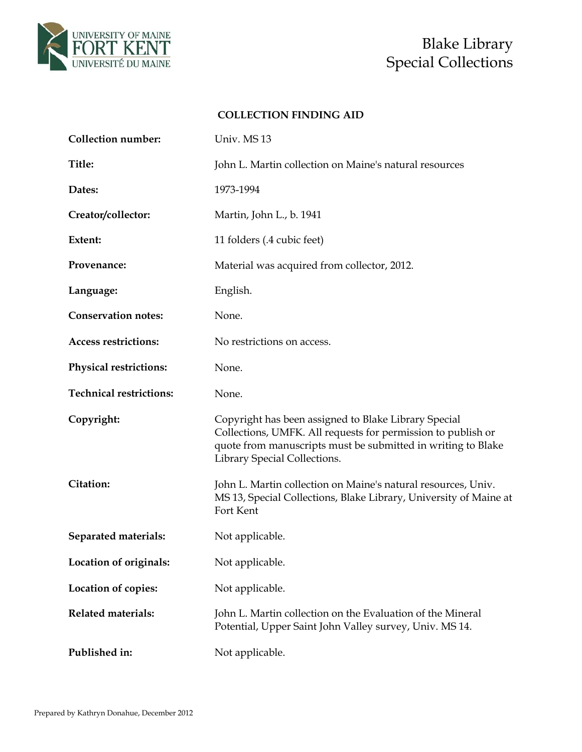

# Special Collections

### **COLLECTION FINDING AID**

| <b>Collection number:</b>      | Univ. MS 13                                                                                                                                                                                                          |
|--------------------------------|----------------------------------------------------------------------------------------------------------------------------------------------------------------------------------------------------------------------|
| Title:                         | John L. Martin collection on Maine's natural resources                                                                                                                                                               |
| Dates:                         | 1973-1994                                                                                                                                                                                                            |
| Creator/collector:             | Martin, John L., b. 1941                                                                                                                                                                                             |
| Extent:                        | 11 folders (.4 cubic feet)                                                                                                                                                                                           |
| Provenance:                    | Material was acquired from collector, 2012.                                                                                                                                                                          |
| Language:                      | English.                                                                                                                                                                                                             |
| <b>Conservation notes:</b>     | None.                                                                                                                                                                                                                |
| <b>Access restrictions:</b>    | No restrictions on access.                                                                                                                                                                                           |
| <b>Physical restrictions:</b>  | None.                                                                                                                                                                                                                |
| <b>Technical restrictions:</b> | None.                                                                                                                                                                                                                |
| Copyright:                     | Copyright has been assigned to Blake Library Special<br>Collections, UMFK. All requests for permission to publish or<br>quote from manuscripts must be submitted in writing to Blake<br>Library Special Collections. |
| Citation:                      | John L. Martin collection on Maine's natural resources, Univ.<br>MS 13, Special Collections, Blake Library, University of Maine at<br>Fort Kent                                                                      |
| Separated materials:           | Not applicable.                                                                                                                                                                                                      |
| Location of originals:         | Not applicable.                                                                                                                                                                                                      |
| Location of copies:            | Not applicable.                                                                                                                                                                                                      |
| <b>Related materials:</b>      | John L. Martin collection on the Evaluation of the Mineral<br>Potential, Upper Saint John Valley survey, Univ. MS 14.                                                                                                |
| Published in:                  | Not applicable.                                                                                                                                                                                                      |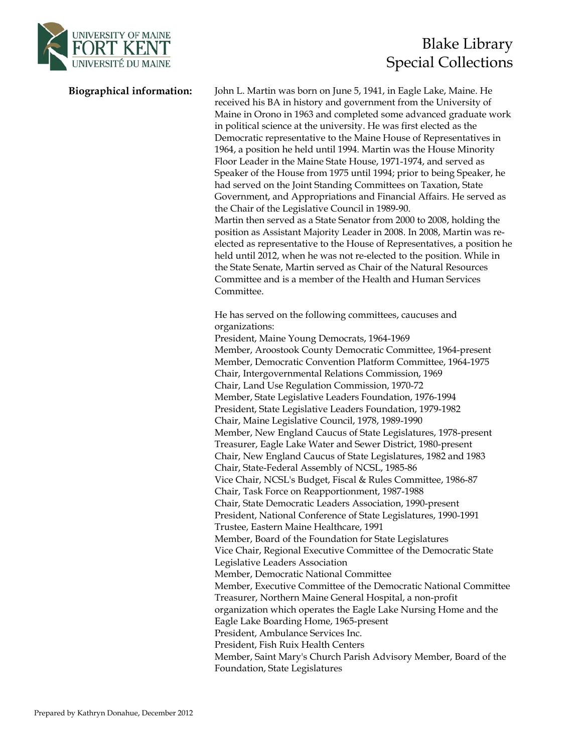

## UNIVERSITY OF MAINE<br>FORT KENT Special Collections

**Biographical information:** John L. Martin was born on June 5, 1941, in Eagle Lake, Maine. He received his BA in history and government from the University of Maine in Orono in 1963 and completed some advanced graduate work in political science at the university. He was first elected as the Democratic representative to the Maine House of Representatives in 1964, a position he held until 1994. Martin was the House Minority Floor Leader in the Maine State House, 1971-1974, and served as Speaker of the House from 1975 until 1994; prior to being Speaker, he had served on the Joint Standing Committees on Taxation, State Government, and Appropriations and Financial Affairs. He served as the Chair of the Legislative Council in 1989-90. Martin then served as a State Senator from 2000 to 2008, holding the position as Assistant Majority Leader in 2008. In 2008, Martin was reelected as representative to the House of Representatives, a position he held until 2012, when he was not re-elected to the position. While in the State Senate, Martin served as Chair of the Natural Resources Committee and is a member of the Health and Human Services Committee.

> He has served on the following committees, caucuses and organizations: President, Maine Young Democrats, 1964-1969 Member, Aroostook County Democratic Committee, 1964-present Member, Democratic Convention Platform Committee, 1964-1975 Chair, Intergovernmental Relations Commission, 1969 Chair, Land Use Regulation Commission, 1970-72 Member, State Legislative Leaders Foundation, 1976-1994 President, State Legislative Leaders Foundation, 1979-1982 Chair, Maine Legislative Council, 1978, 1989-1990 Member, New England Caucus of State Legislatures, 1978-present Treasurer, Eagle Lake Water and Sewer District, 1980-present Chair, New England Caucus of State Legislatures, 1982 and 1983 Chair, State-Federal Assembly of NCSL, 1985-86 Vice Chair, NCSL's Budget, Fiscal & Rules Committee, 1986-87 Chair, Task Force on Reapportionment, 1987-1988 Chair, State Democratic Leaders Association, 1990-present President, National Conference of State Legislatures, 1990-1991 Trustee, Eastern Maine Healthcare, 1991 Member, Board of the Foundation for State Legislatures Vice Chair, Regional Executive Committee of the Democratic State Legislative Leaders Association Member, Democratic National Committee Member, Executive Committee of the Democratic National Committee Treasurer, Northern Maine General Hospital, a non-profit organization which operates the Eagle Lake Nursing Home and the Eagle Lake Boarding Home, 1965-present President, Ambulance Services Inc. President, Fish Ruix Health Centers Member, Saint Mary's Church Parish Advisory Member, Board of the Foundation, State Legislatures